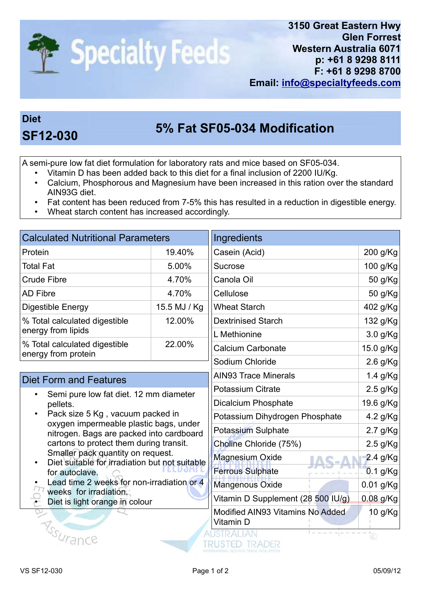

## Diet

## 5% Fat SF05-034 Modification SF12-030

A semi-pure low fat diet formulation for laboratory rats and mice based on SF05-034.

- Vitamin D has been added back to this diet for a final inclusion of 2200 IU/Kg.
- Calcium, Phosphorous and Magnesium have been increased in this ration over the standard AIN93G diet.
- Fat content has been reduced from 7-5% this has resulted in a reduction in digestible energy.
- Wheat starch content has increased accordingly.

| <b>Calculated Nutritional Parameters</b>                                                                                                                                                                                                                                                                                                                                                                                                   |              | Ingredients                                   |             |
|--------------------------------------------------------------------------------------------------------------------------------------------------------------------------------------------------------------------------------------------------------------------------------------------------------------------------------------------------------------------------------------------------------------------------------------------|--------------|-----------------------------------------------|-------------|
| Protein                                                                                                                                                                                                                                                                                                                                                                                                                                    | 19.40%       | Casein (Acid)                                 | 200 g/Kg    |
| <b>Total Fat</b>                                                                                                                                                                                                                                                                                                                                                                                                                           | 5.00%        | Sucrose                                       | 100 g/Kg    |
| <b>Crude Fibre</b>                                                                                                                                                                                                                                                                                                                                                                                                                         | 4.70%        | Canola Oil                                    | 50 g/Kg     |
| <b>AD Fibre</b>                                                                                                                                                                                                                                                                                                                                                                                                                            | 4.70%        | Cellulose                                     | 50 g/Kg     |
| Digestible Energy                                                                                                                                                                                                                                                                                                                                                                                                                          | 15.5 MJ / Kg | <b>Wheat Starch</b>                           | 402 g/Kg    |
| % Total calculated digestible<br>energy from lipids                                                                                                                                                                                                                                                                                                                                                                                        | 12.00%       | <b>Dextrinised Starch</b>                     | 132 g/Kg    |
|                                                                                                                                                                                                                                                                                                                                                                                                                                            |              | L Methionine                                  | 3.0 g/Kg    |
| % Total calculated digestible<br>energy from protein                                                                                                                                                                                                                                                                                                                                                                                       | 22.00%       | <b>Calcium Carbonate</b>                      | 15.0 g/Kg   |
|                                                                                                                                                                                                                                                                                                                                                                                                                                            |              | Sodium Chloride                               | $2.6$ g/Kg  |
| <b>Diet Form and Features</b>                                                                                                                                                                                                                                                                                                                                                                                                              |              | <b>AIN93 Trace Minerals</b>                   | 1.4 g/Kg    |
| Semi pure low fat diet. 12 mm diameter<br>pellets.<br>Pack size 5 Kg, vacuum packed in<br>oxygen impermeable plastic bags, under<br>nitrogen. Bags are packed into cardboard<br>cartons to protect them during transit.<br>Smaller pack quantity on request.<br>Diet suitable for irradiation but not suitable<br>for autoclave.<br>Lead time 2 weeks for non-irradiation or 4<br>weeks for irradiation.<br>Diet is light orange in colour |              | <b>Potassium Citrate</b>                      | $2.5$ g/Kg  |
|                                                                                                                                                                                                                                                                                                                                                                                                                                            |              | <b>Dicalcium Phosphate</b>                    | 19.6 g/Kg   |
|                                                                                                                                                                                                                                                                                                                                                                                                                                            |              | Potassium Dihydrogen Phosphate                | 4.2 g/Kg    |
|                                                                                                                                                                                                                                                                                                                                                                                                                                            |              | Potassium Sulphate                            | $2.7$ g/Kg  |
|                                                                                                                                                                                                                                                                                                                                                                                                                                            |              | Choline Chloride (75%)                        | $2.5$ g/Kg  |
|                                                                                                                                                                                                                                                                                                                                                                                                                                            |              | <b>Magnesium Oxide</b>                        | 2.4 g/Kg    |
|                                                                                                                                                                                                                                                                                                                                                                                                                                            |              | <b>Ferrous Sulphate</b>                       | 0.1 g/Kg    |
|                                                                                                                                                                                                                                                                                                                                                                                                                                            |              | Mangenous Oxide                               | 0.01 g/Kg   |
|                                                                                                                                                                                                                                                                                                                                                                                                                                            |              | Vitamin D Supplement (28 500 IU/g)            | $0.08$ g/Kg |
|                                                                                                                                                                                                                                                                                                                                                                                                                                            |              | Modified AIN93 Vitamins No Added<br>Vitamin D | 10 g/Kg     |
| $\mathcal{V}_{\mathcal{S}_{\Omega_{IR,2D}}}$                                                                                                                                                                                                                                                                                                                                                                                               |              | <b>IDAND</b>                                  |             |